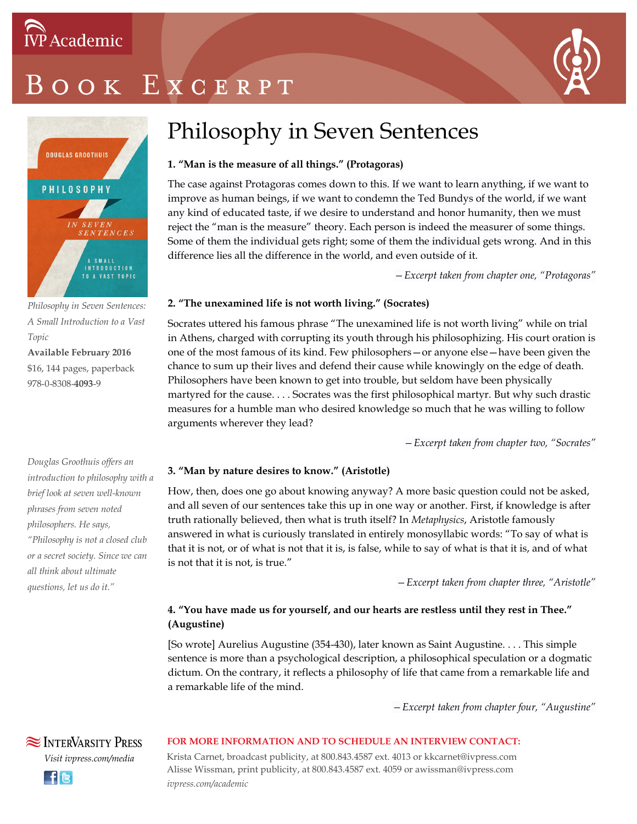## OOK EXCERPT



*Philosophy in Seven Sentences: A Small Introduction to a Vast Topic*

**Available February 2016** \$16, 144 pages, paperback 978-0-8308-**4093**-9

*Douglas Groothuis offers an introduction to philosophy with a brief look at seven well-known phrases from seven noted philosophers. He says, "Philosophy is not a closed club or a secret society. Since we can all think about ultimate questions, let us do it."*

### Philosophy in Seven Sentences

#### **1. "Man is the measure of all things." (Protagoras)**

The case against Protagoras comes down to this. If we want to learn anything, if we want to improve as human beings, if we want to condemn the Ted Bundys of the world, if we want any kind of educated taste, if we desire to understand and honor humanity, then we must reject the "man is the measure" theory. Each person is indeed the measurer of some things. Some of them the individual gets right; some of them the individual gets wrong. And in this difference lies all the difference in the world, and even outside of it.

*—Excerpt taken from chapter one, "Protagoras"*

#### **2. "The unexamined life is not worth living." (Socrates)**

Socrates uttered his famous phrase "The unexamined life is not worth living" while on trial in Athens, charged with corrupting its youth through his philosophizing. His court oration is one of the most famous of its kind. Few philosophers—or anyone else—have been given the chance to sum up their lives and defend their cause while knowingly on the edge of death. Philosophers have been known to get into trouble, but seldom have been physically martyred for the cause. . . . Socrates was the first philosophical martyr. But why such drastic measures for a humble man who desired knowledge so much that he was willing to follow arguments wherever they lead?

*—Excerpt taken from chapter two, "Socrates"*

#### **3. "Man by nature desires to know." (Aristotle)**

How, then, does one go about knowing anyway? A more basic question could not be asked, and all seven of our sentences take this up in one way or another. First, if knowledge is after truth rationally believed, then what is truth itself? In *Metaphysics*, Aristotle famously answered in what is curiously translated in entirely monosyllabic words: "To say of what is that it is not, or of what is not that it is, is false, while to say of what is that it is, and of what is not that it is not, is true."

*—Excerpt taken from chapter three, "Aristotle"*

#### **4. "You have made us for yourself, and our hearts are restless until they rest in Thee." (Augustine)**

[So wrote] Aurelius Augustine (354-430), later known as Saint Augustine. . . . This simple sentence is more than a psychological description, a philosophical speculation or a dogmatic dictum. On the contrary, it reflects a philosophy of life that came from a remarkable life and a remarkable life of the mind.

*—Excerpt taken from chapter four, "Augustine"*

#### **FOR MORE INFORMATION AND TO SCHEDULE AN INTERVIEW CONTACT:**

Krista Carnet, broadcast publicity, at 800.843.4587 ext. 4013 or kkcarnet@ivpress.com Alisse Wissman, print publicity, at 800.843.4587 ext. 4059 or awissman@ivpress.com *ivpress.com/academic*



**SEX INTERVARSITY PRESS**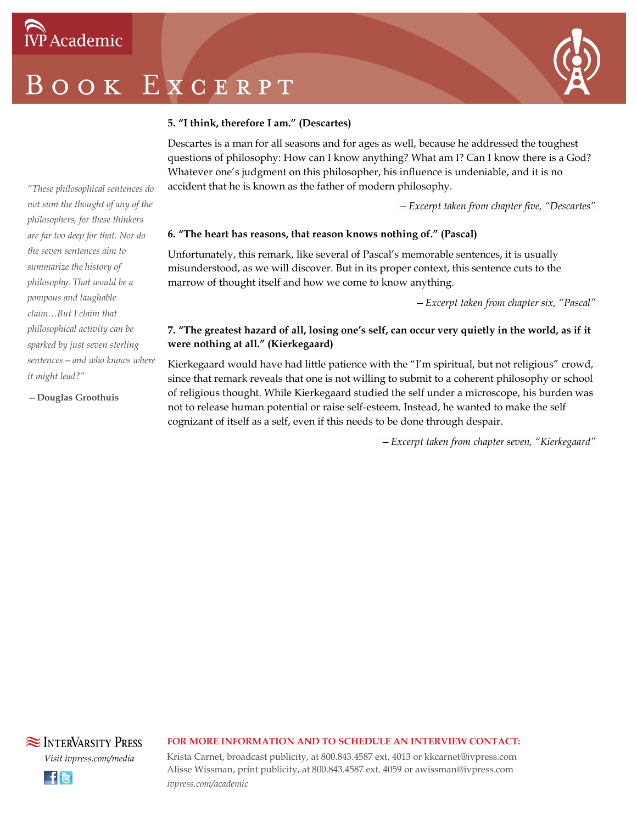## BOOK EXCERPT



#### **5. "I think, therefore I am." (Descartes)**

Descartes is a man for all seasons and for ages as well, because he addressed the toughest questions of philosophy: How can I know anything? What am I? Can I know there is a God? Whatever one's judgment on this philosopher, his influence is undeniable, and it is no accident that he is known as the father of modern philosophy.

*—Excerpt taken from chapter five, "Descartes"*

#### **6. "The heart has reasons, that reason knows nothing of." (Pascal)**

Unfortunately, this remark, like several of Pascal's memorable sentences, it is usually misunderstood, as we will discover. But in its proper context, this sentence cuts to the marrow of thought itself and how we come to know anything.

*—Excerpt taken from chapter six, "Pascal"*

#### **7. "The greatest hazard of all, losing one's self, can occur very quietly in the world, as if it were nothing at all." (Kierkegaard)**

Kierkegaard would have had little patience with the "I'm spiritual, but not religious" crowd, since that remark reveals that one is not willing to submit to a coherent philosophy or school of religious thought. While Kierkegaard studied the self under a microscope, his burden was not to release human potential or raise self-esteem. Instead, he wanted to make the self cognizant of itself as a self, even if this needs to be done through despair.

*—Excerpt taken from chapter seven, "Kierkegaard"*

*"These philosophical sentences do not sum the thought of any of the philosophers, for these thinkers are far too deep for that. Nor do the seven sentences aim to summarize the history of philosophy. That would be a pompous and laughable claim…But I claim that philosophical activity can be sparked by just seven sterling sentences—and who knows where it might lead?"*

—**Douglas Groothuis**

#### **FOR MORE INFORMATION AND TO SCHEDULE AN INTERVIEW CONTACT:**

Krista Carnet, broadcast publicity, at 800.843.4587 ext. 4013 or kkcarnet@ivpress.com Alisse Wissman, print publicity, at 800.843.4587 ext. 4059 or awissman@ivpress.com *ivpress.com/academic*



*Visit ivpress.com/media*

**SEX INTERVARSITY PRESS**